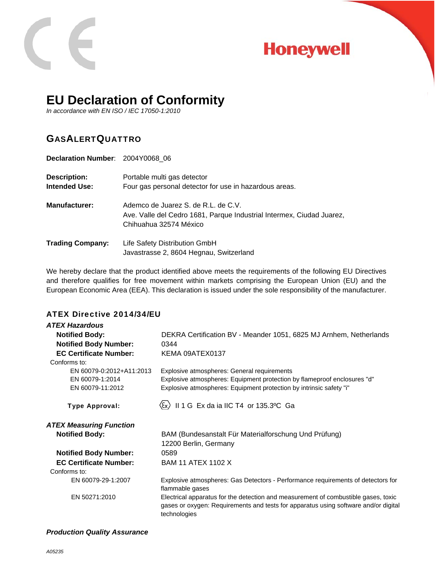

# **Honeywell**

## **EU Declaration of Conformity**

*In accordance with EN ISO / IEC 17050-1:2010* 

### GASALERTQUATTRO

| Declaration Number: 2004Y0068 06     |                                                                                                                                        |
|--------------------------------------|----------------------------------------------------------------------------------------------------------------------------------------|
| <b>Description:</b><br>Intended Use: | Portable multi gas detector<br>Four gas personal detector for use in hazardous areas.                                                  |
| <b>Manufacturer:</b>                 | Ademco de Juarez S. de R.L. de C.V.<br>Ave. Valle del Cedro 1681, Parque Industrial Intermex, Ciudad Juarez,<br>Chihuahua 32574 México |
| <b>Trading Company:</b>              | Life Safety Distribution GmbH<br>Javastrasse 2, 8604 Hegnau, Switzerland                                                               |

We hereby declare that the product identified above meets the requirements of the following EU Directives and therefore qualifies for free movement within markets comprising the European Union (EU) and the European Economic Area (EEA). This declaration is issued under the sole responsibility of the manufacturer.

#### ATEX Directive 2014/34/EU

| <b>ATEX Hazardous</b>                                           |                                                                                                                                                                                                |
|-----------------------------------------------------------------|------------------------------------------------------------------------------------------------------------------------------------------------------------------------------------------------|
| <b>Notified Body:</b>                                           | DEKRA Certification BV - Meander 1051, 6825 MJ Arnhem, Netherlands                                                                                                                             |
| <b>Notified Body Number:</b>                                    | 0344                                                                                                                                                                                           |
| <b>EC Certificate Number:</b>                                   | KEMA 09ATEX0137                                                                                                                                                                                |
| Conforms to:                                                    |                                                                                                                                                                                                |
| EN 60079-0:2012+A11:2013<br>EN 60079-1:2014<br>EN 60079-11:2012 | Explosive atmospheres: General requirements<br>Explosive atmospheres: Equipment protection by flameproof enclosures "d"<br>Explosive atmospheres: Equipment protection by intrinsic safety "i" |
| <b>Type Approval:</b>                                           | II 1 G Ex da ia IIC T4 or 135.3°C Ga                                                                                                                                                           |
| <b>ATEX Measuring Function</b>                                  |                                                                                                                                                                                                |
| <b>Notified Body:</b>                                           | BAM (Bundesanstalt Für Materialforschung Und Prüfung)<br>12200 Berlin, Germany                                                                                                                 |
| <b>Notified Body Number:</b>                                    | 0589                                                                                                                                                                                           |
| <b>EC Certificate Number:</b><br>Conforms to:                   | <b>BAM 11 ATEX 1102 X</b>                                                                                                                                                                      |
| EN 60079-29-1:2007                                              | Explosive atmospheres: Gas Detectors - Performance requirements of detectors for<br>flammable gases                                                                                            |
| EN 50271:2010                                                   | Electrical apparatus for the detection and measurement of combustible gases, toxic<br>gases or oxygen: Requirements and tests for apparatus using software and/or digital<br>technologies      |

#### *Production Quality Assurance*